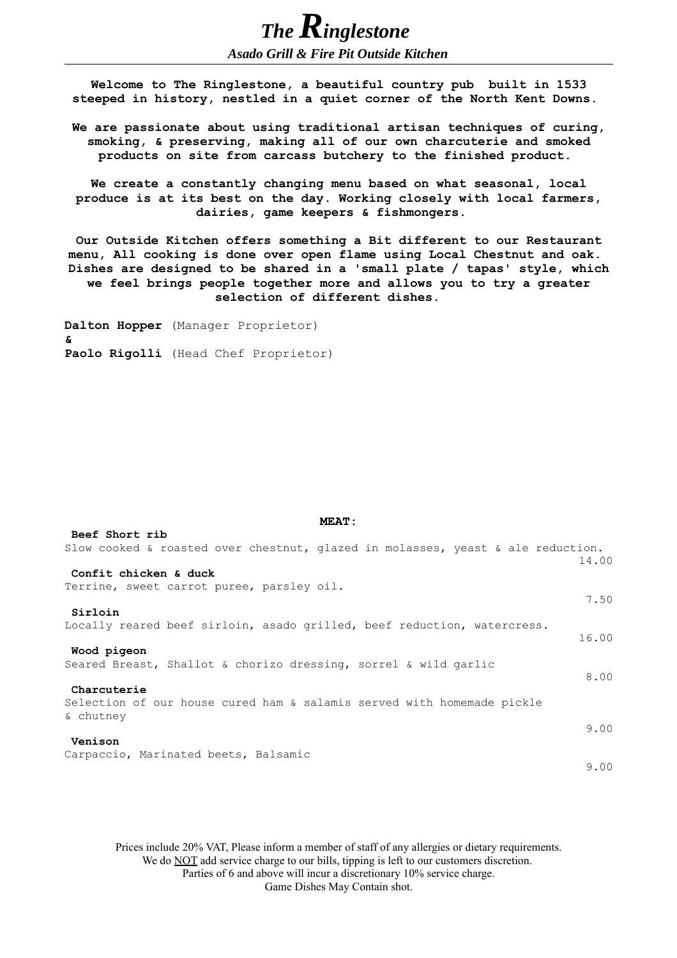**Welcome to The Ringlestone, a beautiful country pub built in 1533 steeped in history, nestled in a quiet corner of the North Kent Downs.** 

*Asado Grill & Fire Pit Outside Kitchen*

*The Ringlestone* 

**We are passionate about using traditional artisan techniques of curing, smoking, & preserving, making all of our own charcuterie and smoked products on site from carcass butchery to the finished product.** 

**We create a constantly changing menu based on what seasonal, local produce is at its best on the day. Working closely with local farmers, dairies, game keepers & fishmongers.** 

**Our Outside Kitchen offers something a Bit different to our Restaurant menu, All cooking is done over open flame using Local Chestnut and oak. Dishes are designed to be shared in a 'small plate / tapas' style, which we feel brings people together more and allows you to try a greater selection of different dishes.** 

**Dalton Hopper** (Manager Proprietor) **& Paolo Rigolli** (Head Chef Proprietor)

| Beef Short rib                                                                  |       |
|---------------------------------------------------------------------------------|-------|
| Slow cooked & roasted over chestnut, glazed in molasses, yeast & ale reduction. | 14.00 |
| Confit chicken & duck                                                           |       |
| Terrine, sweet carrot puree, parsley oil.                                       |       |
|                                                                                 | 7.50  |
| Sirloin                                                                         |       |
| Locally reared beef sirloin, asado grilled, beef reduction, watercress.         |       |
|                                                                                 | 16.00 |
| Wood pigeon                                                                     |       |
| Seared Breast, Shallot & chorizo dressing, sorrel & wild garlic                 | 8.00  |
| Charcuterie                                                                     |       |
| Selection of our house cured ham & salamis served with homemade pickle          |       |
| & chutney                                                                       |       |
|                                                                                 | 9.00  |
| Venison                                                                         |       |
| Carpaccio, Marinated beets, Balsamic                                            |       |
|                                                                                 | 9.00  |

**MEAT:**

Prices include 20% VAT, Please inform a member of staff of any allergies or dietary requirements. We do **NOT** add service charge to our bills, tipping is left to our customers discretion. Parties of 6 and above will incur a discretionary 10% service charge. Game Dishes May Contain shot.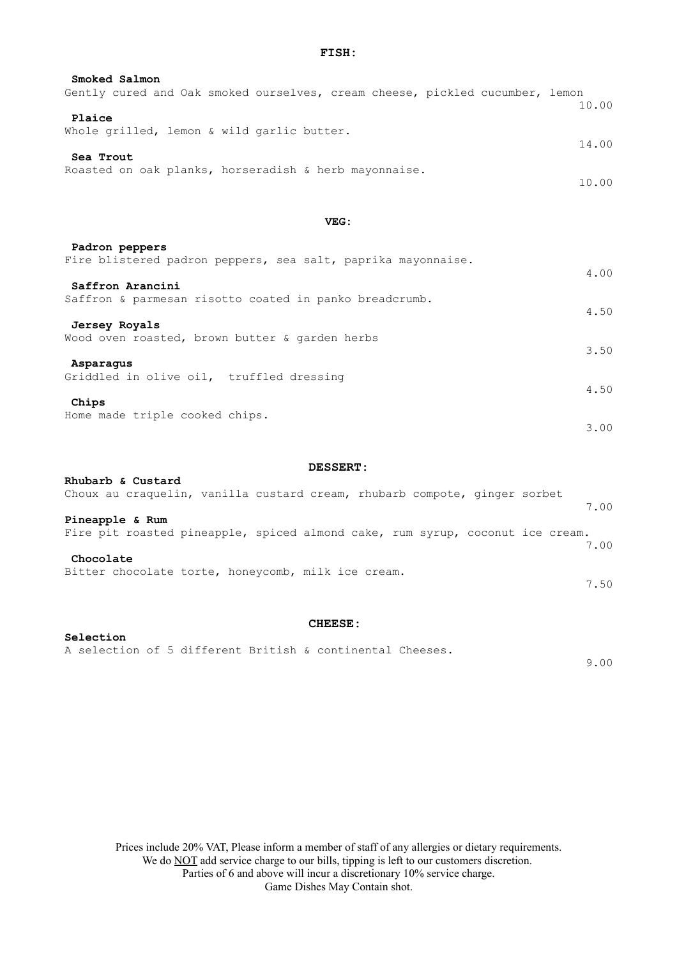**FISH:**

| Smoked Salmon                                                      |                                                                              |  |
|--------------------------------------------------------------------|------------------------------------------------------------------------------|--|
|                                                                    | Gently cured and Oak smoked ourselves, cream cheese, pickled cucumber, lemon |  |
| Plaice                                                             | 10.00                                                                        |  |
| Whole grilled, lemon & wild garlic butter.                         | 14.00                                                                        |  |
| Sea Trout<br>Roasted on oak planks, horseradish & herb mayonnaise. |                                                                              |  |
|                                                                    | 10.00                                                                        |  |

**VEG:**

| Padron peppers                                               |      |
|--------------------------------------------------------------|------|
| Fire blistered padron peppers, sea salt, paprika mayonnaise. | 4.00 |
| Saffron Arancini                                             |      |
| Saffron & parmesan risotto coated in panko breadcrumb.       |      |
|                                                              | 4.50 |
| Jersey Royals                                                |      |
| Wood oven roasted, brown butter & garden herbs               |      |
|                                                              | 3.50 |
| Asparaqus                                                    |      |
| Griddled in olive oil, truffled dressing                     |      |
|                                                              | 4.50 |
| Chips<br>Home made triple cooked chips.                      |      |
|                                                              | 3.00 |
|                                                              |      |

## **DESSERT:**

| Rhubarb & Custard<br>Choux au craquelin, vanilla custard cream, rhubarb compote, ginger sorbet   | 7.00 |
|--------------------------------------------------------------------------------------------------|------|
| Pineapple & Rum<br>Fire pit roasted pineapple, spiced almond cake, rum syrup, coconut ice cream. | 7.00 |
| Chocolate<br>Bitter chocolate torte, honeycomb, milk ice cream.                                  | 7.50 |

## **CHEESE:**

## **Selection**  A selection of 5 different British & continental Cheeses.

Prices include 20% VAT, Please inform a member of staff of any allergies or dietary requirements. We do **NOT** add service charge to our bills, tipping is left to our customers discretion. Parties of 6 and above will incur a discretionary 10% service charge. Game Dishes May Contain shot.

9.00